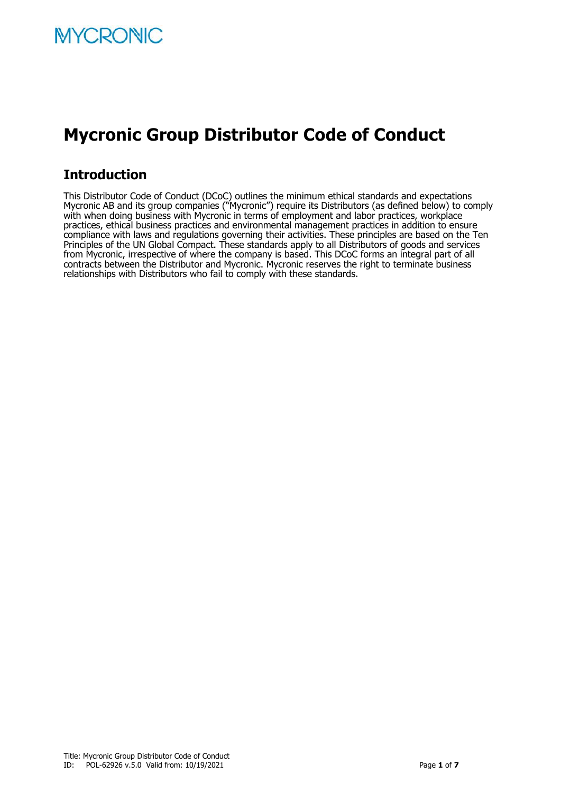# **Mycronic Group Distributor Code of Conduct**

# **Introduction**

This Distributor Code of Conduct (DCoC) outlines the minimum ethical standards and expectations Mycronic AB and its group companies ("Mycronic") require its Distributors (as defined below) to comply with when doing business with Mycronic in terms of employment and labor practices, workplace practices, ethical business practices and environmental management practices in addition to ensure compliance with laws and regulations governing their activities. These principles are based on the Ten Principles of the UN Global Compact. These standards apply to all Distributors of goods and services from Mycronic, irrespective of where the company is based. This DCoC forms an integral part of all contracts between the Distributor and Mycronic. Mycronic reserves the right to terminate business relationships with Distributors who fail to comply with these standards.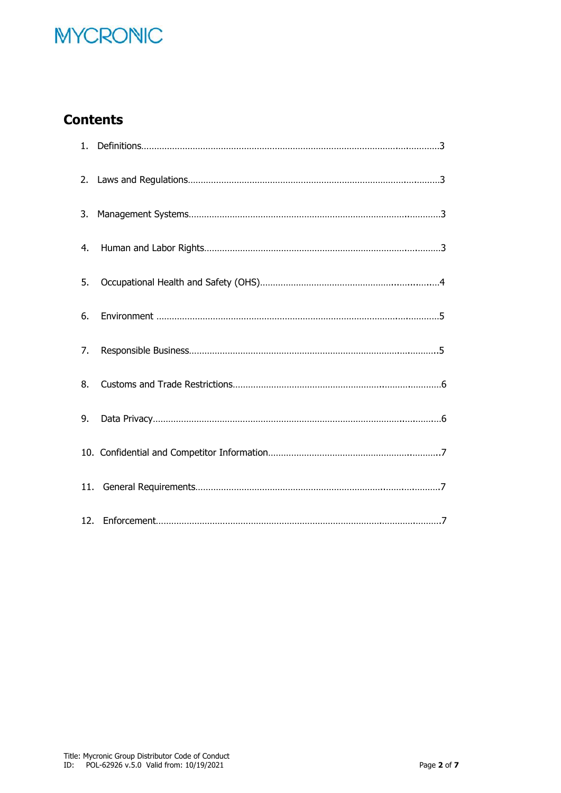# **MYCRONIC**

# **Contents**

| 1. |  |
|----|--|
| 2. |  |
| 3. |  |
| 4. |  |
| 5. |  |
| 6. |  |
| 7. |  |
| 8. |  |
| 9. |  |
|    |  |
|    |  |
|    |  |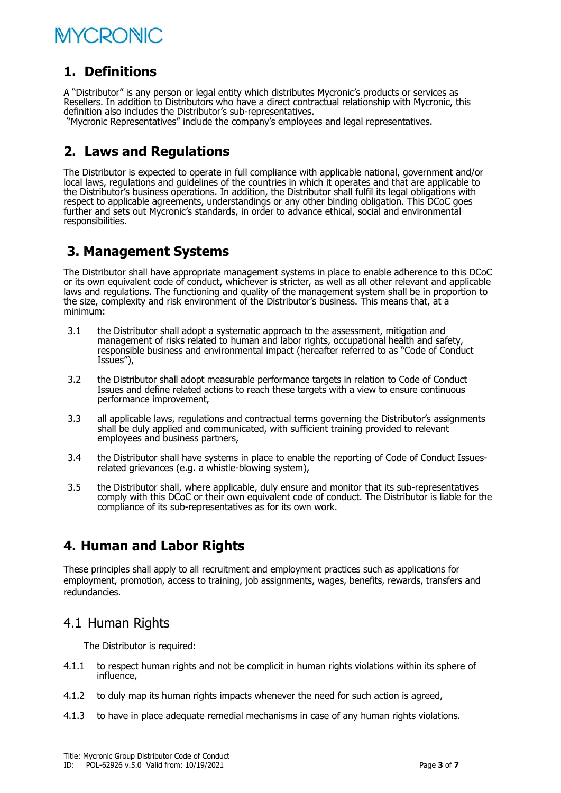# **MYCRONIC**

# **1. Definitions**

A "Distributor" is any person or legal entity which distributes Mycronic's products or services as Resellers. In addition to Distributors who have a direct contractual relationship with Mycronic, this definition also includes the Distributor's sub-representatives.

"Mycronic Representatives" include the company's employees and legal representatives.

# **2. Laws and Regulations**

The Distributor is expected to operate in full compliance with applicable national, government and/or local laws, regulations and guidelines of the countries in which it operates and that are applicable to the Distributor's business operations. In addition, the Distributor shall fulfil its legal obligations with respect to applicable agreements, understandings or any other binding obligation. This DCoC goes further and sets out Mycronic's standards, in order to advance ethical, social and environmental responsibilities.

# **3. Management Systems**

The Distributor shall have appropriate management systems in place to enable adherence to this DCoC or its own equivalent code of conduct, whichever is stricter, as well as all other relevant and applicable laws and regulations. The functioning and quality of the management system shall be in proportion to the size, complexity and risk environment of the Distributor's business. This means that, at a minimum:

- 3.1 the Distributor shall adopt a systematic approach to the assessment, mitigation and management of risks related to human and labor rights, occupational health and safety, responsible business and environmental impact (hereafter referred to as "Code of Conduct Issues"),
- 3.2 the Distributor shall adopt measurable performance targets in relation to Code of Conduct Issues and define related actions to reach these targets with a view to ensure continuous performance improvement,
- 3.3 all applicable laws, regulations and contractual terms governing the Distributor's assignments shall be duly applied and communicated, with sufficient training provided to relevant employees and business partners,
- 3.4 the Distributor shall have systems in place to enable the reporting of Code of Conduct Issuesrelated grievances (e.g. a whistle-blowing system),
- 3.5 the Distributor shall, where applicable, duly ensure and monitor that its sub-representatives comply with this DCoC or their own equivalent code of conduct. The Distributor is liable for the compliance of its sub-representatives as for its own work.

# **4. Human and Labor Rights**

These principles shall apply to all recruitment and employment practices such as applications for employment, promotion, access to training, job assignments, wages, benefits, rewards, transfers and redundancies.

### 4.1 Human Rights

The Distributor is required:

- 4.1.1 to respect human rights and not be complicit in human rights violations within its sphere of influence,
- 4.1.2 to duly map its human rights impacts whenever the need for such action is agreed,
- 4.1.3 to have in place adequate remedial mechanisms in case of any human rights violations.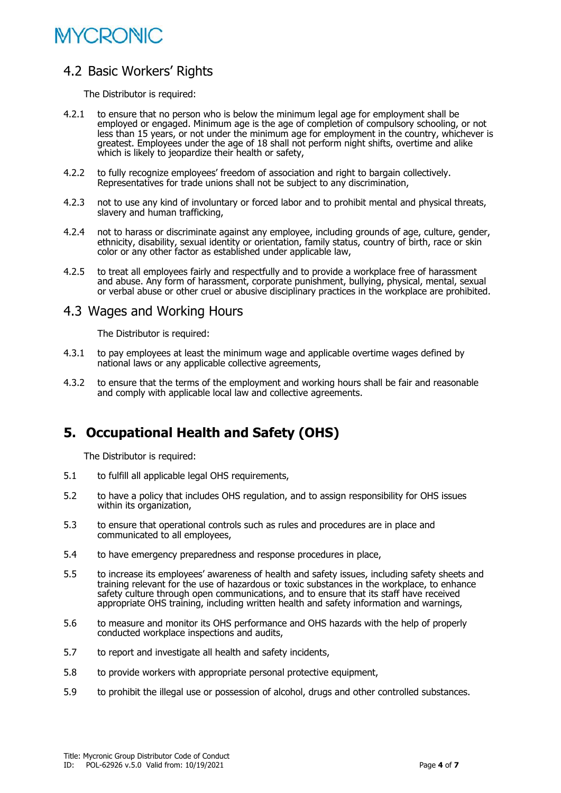# **MYCRONIC**

# 4.2 Basic Workers' Rights

The Distributor is required:

- 4.2.1 to ensure that no person who is below the minimum legal age for employment shall be employed or engaged. Minimum age is the age of completion of compulsory schooling, or not less than 15 years, or not under the minimum age for employment in the country, whichever is greatest. Employees under the age of 18 shall not perform night shifts, overtime and alike which is likely to jeopardize their health or safety,
- 4.2.2 to fully recognize employees' freedom of association and right to bargain collectively. Representatives for trade unions shall not be subject to any discrimination,
- 4.2.3 not to use any kind of involuntary or forced labor and to prohibit mental and physical threats, slavery and human trafficking,
- 4.2.4 not to harass or discriminate against any employee, including grounds of age, culture, gender, ethnicity, disability, sexual identity or orientation, family status, country of birth, race or skin color or any other factor as established under applicable law,
- 4.2.5 to treat all employees fairly and respectfully and to provide a workplace free of harassment and abuse. Any form of harassment, corporate punishment, bullying, physical, mental, sexual or verbal abuse or other cruel or abusive disciplinary practices in the workplace are prohibited.

#### 4.3 Wages and Working Hours

The Distributor is required:

- 4.3.1 to pay employees at least the minimum wage and applicable overtime wages defined by national laws or any applicable collective agreements,
- 4.3.2 to ensure that the terms of the employment and working hours shall be fair and reasonable and comply with applicable local law and collective agreements.

# **5. Occupational Health and Safety (OHS)**

The Distributor is required:

- 5.1 to fulfill all applicable legal OHS requirements,
- 5.2 to have a policy that includes OHS regulation, and to assign responsibility for OHS issues within its organization,
- 5.3 to ensure that operational controls such as rules and procedures are in place and communicated to all employees,
- 5.4 to have emergency preparedness and response procedures in place,
- 5.5 to increase its employees' awareness of health and safety issues, including safety sheets and training relevant for the use of hazardous or toxic substances in the workplace, to enhance safety culture through open communications, and to ensure that its staff have received appropriate OHS training, including written health and safety information and warnings,
- 5.6 to measure and monitor its OHS performance and OHS hazards with the help of properly conducted workplace inspections and audits,
- 5.7 to report and investigate all health and safety incidents,
- 5.8 to provide workers with appropriate personal protective equipment,
- 5.9 to prohibit the illegal use or possession of alcohol, drugs and other controlled substances.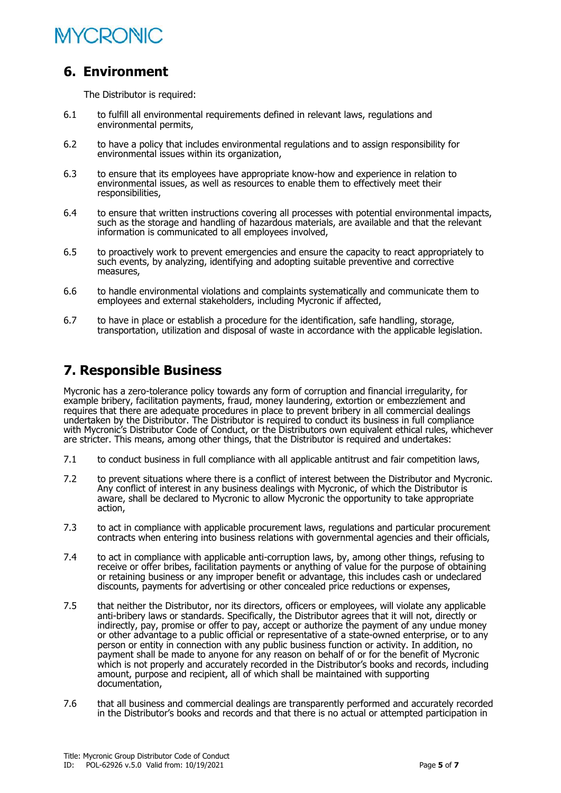

### **6. Environment**

The Distributor is required:

- 6.1 to fulfill all environmental requirements defined in relevant laws, regulations and environmental permits,
- 6.2 to have a policy that includes environmental regulations and to assign responsibility for environmental issues within its organization,
- 6.3 to ensure that its employees have appropriate know-how and experience in relation to environmental issues, as well as resources to enable them to effectively meet their responsibilities,
- 6.4 to ensure that written instructions covering all processes with potential environmental impacts, such as the storage and handling of hazardous materials, are available and that the relevant information is communicated to all employees involved,
- 6.5 to proactively work to prevent emergencies and ensure the capacity to react appropriately to such events, by analyzing, identifying and adopting suitable preventive and corrective measures,
- 6.6 to handle environmental violations and complaints systematically and communicate them to employees and external stakeholders, including Mycronic if affected,
- 6.7 to have in place or establish a procedure for the identification, safe handling, storage, transportation, utilization and disposal of waste in accordance with the applicable legislation.

#### **7. Responsible Business**

Mycronic has a zero-tolerance policy towards any form of corruption and financial irregularity, for example bribery, facilitation payments, fraud, money laundering, extortion or embezzlement and requires that there are adequate procedures in place to prevent bribery in all commercial dealings undertaken by the Distributor. The Distributor is required to conduct its business in full compliance with Mycronic's Distributor Code of Conduct, or the Distributors own equivalent ethical rules, whichever are stricter. This means, among other things, that the Distributor is required and undertakes:

- 7.1 to conduct business in full compliance with all applicable antitrust and fair competition laws,
- 7.2 to prevent situations where there is a conflict of interest between the Distributor and Mycronic. Any conflict of interest in any business dealings with Mycronic, of which the Distributor is aware, shall be declared to Mycronic to allow Mycronic the opportunity to take appropriate action,
- 7.3 to act in compliance with applicable procurement laws, regulations and particular procurement contracts when entering into business relations with governmental agencies and their officials,
- 7.4 to act in compliance with applicable anti-corruption laws, by, among other things, refusing to receive or offer bribes, facilitation payments or anything of value for the purpose of obtaining or retaining business or any improper benefit or advantage, this includes cash or undeclared discounts, payments for advertising or other concealed price reductions or expenses,
- 7.5 that neither the Distributor, nor its directors, officers or employees, will violate any applicable anti-bribery laws or standards. Specifically, the Distributor agrees that it will not, directly or indirectly, pay, promise or offer to pay, accept or authorize the payment of any undue money or other advantage to a public official or representative of a state-owned enterprise, or to any person or entity in connection with any public business function or activity. In addition, no payment shall be made to anyone for any reason on behalf of or for the benefit of Mycronic which is not properly and accurately recorded in the Distributor's books and records, including amount, purpose and recipient, all of which shall be maintained with supporting documentation,
- 7.6 that all business and commercial dealings are transparently performed and accurately recorded in the Distributor's books and records and that there is no actual or attempted participation in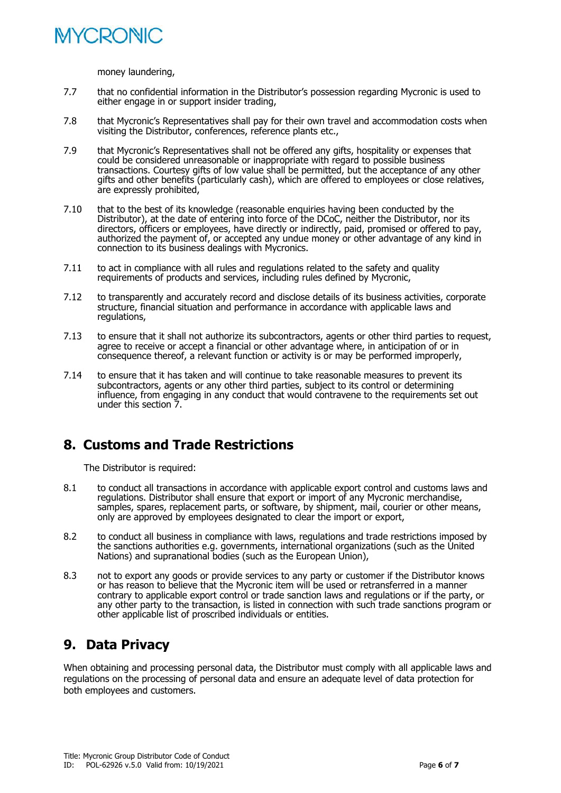

money laundering,

- 7.7 that no confidential information in the Distributor's possession regarding Mycronic is used to either engage in or support insider trading,
- 7.8 that Mycronic's Representatives shall pay for their own travel and accommodation costs when visiting the Distributor, conferences, reference plants etc.,
- 7.9 that Mycronic's Representatives shall not be offered any gifts, hospitality or expenses that could be considered unreasonable or inappropriate with regard to possible business transactions. Courtesy gifts of low value shall be permitted, but the acceptance of any other gifts and other benefits (particularly cash), which are offered to employees or close relatives, are expressly prohibited,
- 7.10 that to the best of its knowledge (reasonable enquiries having been conducted by the Distributor), at the date of entering into force of the DCoC, neither the Distributor, nor its directors, officers or employees, have directly or indirectly, paid, promised or offered to pay, authorized the payment of, or accepted any undue money or other advantage of any kind in connection to its business dealings with Mycronics.
- 7.11 to act in compliance with all rules and regulations related to the safety and quality requirements of products and services, including rules defined by Mycronic,
- 7.12 to transparently and accurately record and disclose details of its business activities, corporate structure, financial situation and performance in accordance with applicable laws and regulations,
- 7.13 to ensure that it shall not authorize its subcontractors, agents or other third parties to request, agree to receive or accept a financial or other advantage where, in anticipation of or in consequence thereof, a relevant function or activity is or may be performed improperly,
- 7.14 to ensure that it has taken and will continue to take reasonable measures to prevent its subcontractors, agents or any other third parties, subject to its control or determining influence, from engaging in any conduct that would contravene to the requirements set out under this section 7.

### **8. Customs and Trade Restrictions**

The Distributor is required:

- 8.1 to conduct all transactions in accordance with applicable export control and customs laws and regulations. Distributor shall ensure that export or import of any Mycronic merchandise, samples, spares, replacement parts, or software, by shipment, mail, courier or other means, only are approved by employees designated to clear the import or export,
- 8.2 to conduct all business in compliance with laws, regulations and trade restrictions imposed by the sanctions authorities e.g. governments, international organizations (such as the United Nations) and supranational bodies (such as the European Union),
- 8.3 not to export any goods or provide services to any party or customer if the Distributor knows or has reason to believe that the Mycronic item will be used or retransferred in a manner contrary to applicable export control or trade sanction laws and regulations or if the party, or any other party to the transaction, is listed in connection with such trade sanctions program or other applicable list of proscribed individuals or entities.

### **9. Data Privacy**

When obtaining and processing personal data, the Distributor must comply with all applicable laws and regulations on the processing of personal data and ensure an adequate level of data protection for both employees and customers.